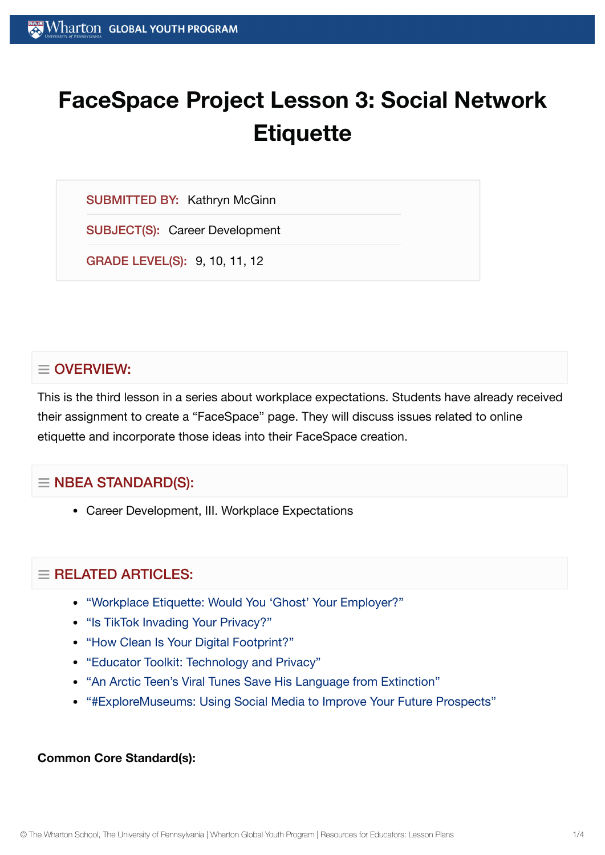# **FaceSpace Project Lesson 3: Social Network Etiquette**

SUBMITTED BY: Kathryn McGinn

SUBJECT(S): Career Development

GRADE LEVEL(S): 9, 10, 11, 12

## $\equiv$  OVERVIEW:

This is the third lesson in a series about workplace expectations. Students have already received their assignment to create a "FaceSpace" page. They will discuss issues related to online etiquette and incorporate those ideas into their FaceSpace creation.

## $\equiv$  NBEA STANDARD(S):

Career Development, III. Workplace Expectations

## $=$  RELATED ARTICLES:

- "Workplace Etiquette: Would You 'Ghost' Your [Employer?"](https://globalyouth.wharton.upenn.edu/articles/ghosting-in-the-workplace/)
- ["Is TikTok](https://globalyouth.wharton.upenn.edu/articles/is-tiktok-invading-your-privacy/) Invading Your Privacy?"
- "How Clean Is Your Digital [Footprint?"](https://globalyouth.wharton.upenn.edu/articles/clean_digital_footprint/)
- "Educator Toolkit: [Technology and](https://globalyouth.wharton.upenn.edu/articles/educator-toolkit-technology-privacy/) Privacy"
- "An Arctic Teen's Viral Tunes Save [His Language](https://globalyouth.wharton.upenn.edu/articles/arctic-teen-saves-language-extinction/) from Extinction"
- ["#ExploreMuseums:](https://globalyouth.wharton.upenn.edu/articles/using_social_media_wisely/) Using Social Media to Improve Your Future Prospects"

#### **Common Core Standard(s):**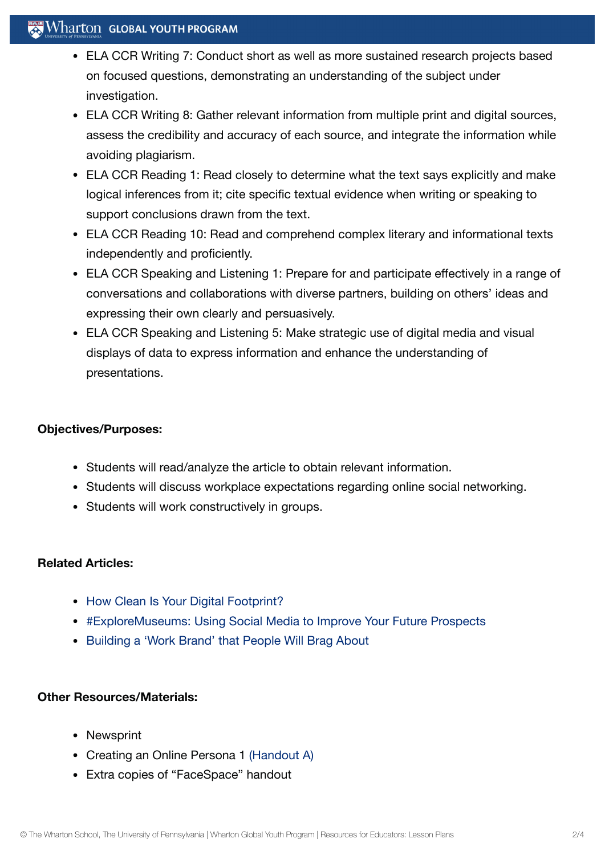### $\mathbb{R}^n$  Wharton Global Youth Program

- ELA CCR Writing 7: Conduct short as well as more sustained research projects based on focused questions, demonstrating an understanding of the subject under investigation.
- ELA CCR Writing 8: Gather relevant information from multiple print and digital sources, assess the credibility and accuracy of each source, and integrate the information while avoiding plagiarism.
- ELA CCR Reading 1: Read closely to determine what the text says explicitly and make logical inferences from it; cite specific textual evidence when writing or speaking to support conclusions drawn from the text.
- ELA CCR Reading 10: Read and comprehend complex literary and informational texts independently and proficiently.
- ELA CCR Speaking and Listening 1: Prepare for and participate effectively in a range of conversations and collaborations with diverse partners, building on others' ideas and expressing their own clearly and persuasively.
- ELA CCR Speaking and Listening 5: Make strategic use of digital media and visual displays of data to express information and enhance the understanding of presentations.

#### **Objectives/Purposes:**

- Students will read/analyze the article to obtain relevant information.
- Students will discuss workplace expectations regarding online social networking.
- Students will work constructively in groups.

#### **Related Articles:**

- How Clean Is Your Digital [Footprint?](https://globalyouth.wharton.upenn.edu/articles/clean_digital_footprint/)
- [#ExploreMuseums:](https://globalyouth.wharton.upenn.edu/articles/using_social_media_wisely/) Using Social Media to Improve Your Future Prospects
- [Building](https://globalyouth.wharton.upenn.edu/articles/a-work-brand-people-will-brag-about/) a 'Work Brand' that People Will Brag About

#### **Other Resources/Materials:**

- Newsprint
- Creating an Online Persona 1 [\(Handout](https://globalyouth.wharton.upenn.edu/wp-content/uploads/2012/01/Career-Development-21_handout.pdf) A)
- Extra copies of "FaceSpace" handout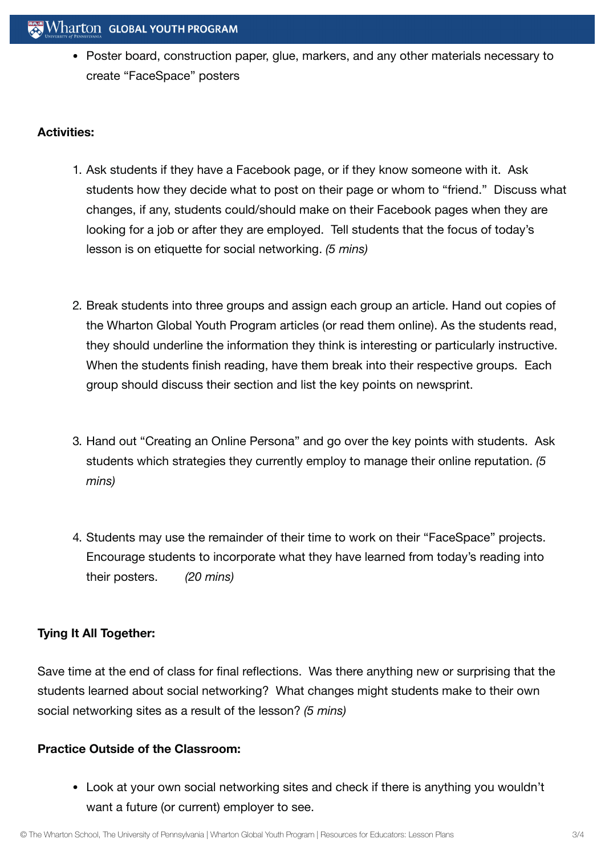• Poster board, construction paper, glue, markers, and any other materials necessary to create "FaceSpace" posters

#### **Activities:**

- 1. Ask students if they have a Facebook page, or if they know someone with it. Ask students how they decide what to post on their page or whom to "friend." Discuss what changes, if any, students could/should make on their Facebook pages when they are looking for a job or after they are employed. Tell students that the focus of today's lesson is on etiquette for social networking. *(5 mins)*
- 2. Break students into three groups and assign each group an article. Hand out copies of the Wharton Global Youth Program articles (or read them online). As the students read, they should underline the information they think is interesting or particularly instructive. When the students finish reading, have them break into their respective groups. Each group should discuss their section and list the key points on newsprint.
- 3. Hand out "Creating an Online Persona" and go over the key points with students. Ask students which strategies they currently employ to manage their online reputation. *(5 mins)*
- 4. Students may use the remainder of their time to work on their "FaceSpace" projects. Encourage students to incorporate what they have learned from today's reading into their posters. *(20 mins)*

#### **Tying It All Together:**

Save time at the end of class for final reflections. Was there anything new or surprising that the students learned about social networking? What changes might students make to their own social networking sites as a result of the lesson? *(5 mins)*

#### **Practice Outside of the Classroom:**

Look at your own social networking sites and check if there is anything you wouldn't want a future (or current) employer to see.